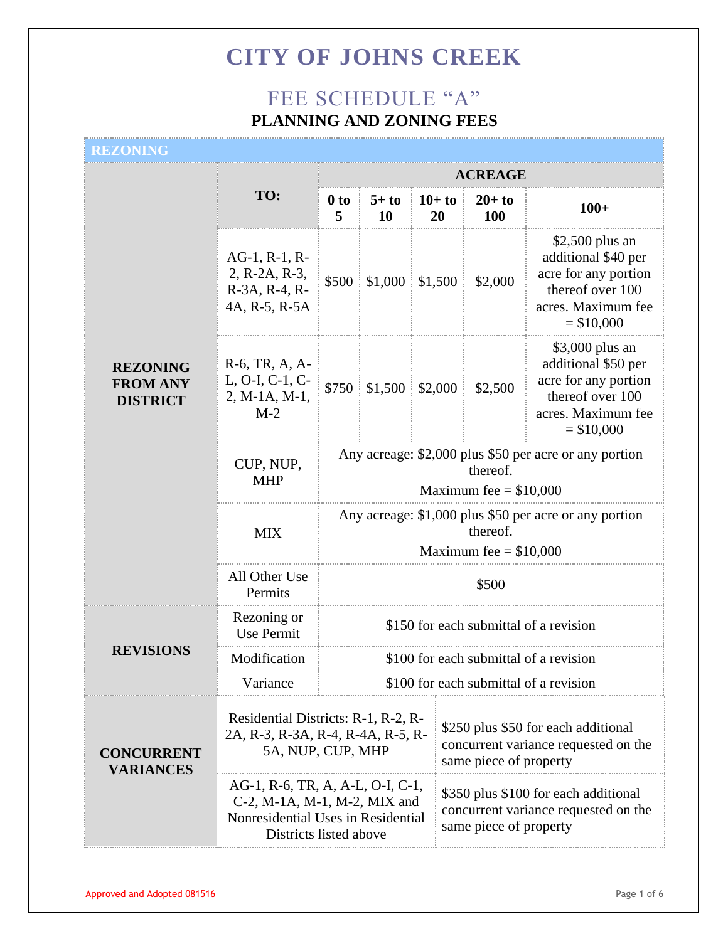### FEE SCHEDULE "A" **PLANNING AND ZONING FEES**

#### **REZONING**

|                                                       |                                                                          |                                                                                                                                                                                                        | ACREAGE                              |                |                                                                                                        |                        |                                                                                                                           |
|-------------------------------------------------------|--------------------------------------------------------------------------|--------------------------------------------------------------------------------------------------------------------------------------------------------------------------------------------------------|--------------------------------------|----------------|--------------------------------------------------------------------------------------------------------|------------------------|---------------------------------------------------------------------------------------------------------------------------|
|                                                       | TO:                                                                      | 0 <sub>to</sub><br>5                                                                                                                                                                                   | $5+$ to<br><b>10</b>                 | $10+$ to<br>20 |                                                                                                        | $20+$ to<br><b>100</b> | $100+$                                                                                                                    |
| <b>REZONING</b><br><b>FROM ANY</b><br><b>DISTRICT</b> | $AG-1$ , $R-1$ , $R-$<br>2, R-2A, R-3,<br>R-3A, R-4, R-<br>4A, R-5, R-5A |                                                                                                                                                                                                        | $$500 \div 1,000 \div 1,500$         |                |                                                                                                        | \$2,000                | $$2,500$ plus an<br>additional \$40 per<br>acre for any portion<br>thereof over 100<br>acres. Maximum fee<br>$=$ \$10,000 |
|                                                       | R-6, TR, A, A-<br>L, O-I, C-1, C-<br>2, M-1A, M-1,<br>$M-2$              |                                                                                                                                                                                                        | $$750 \;   \; $1,500 \;   \; $2,000$ |                |                                                                                                        | \$2,500                | \$3,000 plus an<br>additional \$50 per<br>acre for any portion<br>thereof over 100<br>acres. Maximum fee<br>$= $10,000$   |
|                                                       | CUP, NUP,<br><b>MHP</b>                                                  | Any acreage: \$2,000 plus \$50 per acre or any portion<br>thereof.<br>Maximum fee $= $10,000$                                                                                                          |                                      |                |                                                                                                        |                        |                                                                                                                           |
|                                                       | <b>MIX</b>                                                               | Any acreage: \$1,000 plus \$50 per acre or any portion<br>thereof.<br>Maximum fee $= $10,000$                                                                                                          |                                      |                |                                                                                                        |                        |                                                                                                                           |
|                                                       | All Other Use<br>Permits                                                 | \$500                                                                                                                                                                                                  |                                      |                |                                                                                                        |                        |                                                                                                                           |
| <b>REVISIONS</b>                                      | Rezoning or<br><b>Use Permit</b>                                         | \$150 for each submittal of a revision                                                                                                                                                                 |                                      |                |                                                                                                        |                        |                                                                                                                           |
|                                                       | Modification                                                             | \$100 for each submittal of a revision                                                                                                                                                                 |                                      |                |                                                                                                        |                        |                                                                                                                           |
|                                                       | Variance                                                                 | \$100 for each submittal of a revision                                                                                                                                                                 |                                      |                |                                                                                                        |                        |                                                                                                                           |
| <b>CONCURRENT</b><br><b>VARIANCES</b>                 |                                                                          | Residential Districts: R-1, R-2, R-<br>\$250 plus \$50 for each additional<br>2A, R-3, R-3A, R-4, R-4A, R-5, R-<br>concurrent variance requested on the<br>5A, NUP, CUP, MHP<br>same piece of property |                                      |                |                                                                                                        |                        |                                                                                                                           |
|                                                       |                                                                          | AG-1, R-6, TR, A, A-L, O-I, C-1,<br>C-2, M-1A, M-1, M-2, MIX and<br>Nonresidential Uses in Residential<br>Districts listed above                                                                       |                                      |                | \$350 plus \$100 for each additional<br>concurrent variance requested on the<br>same piece of property |                        |                                                                                                                           |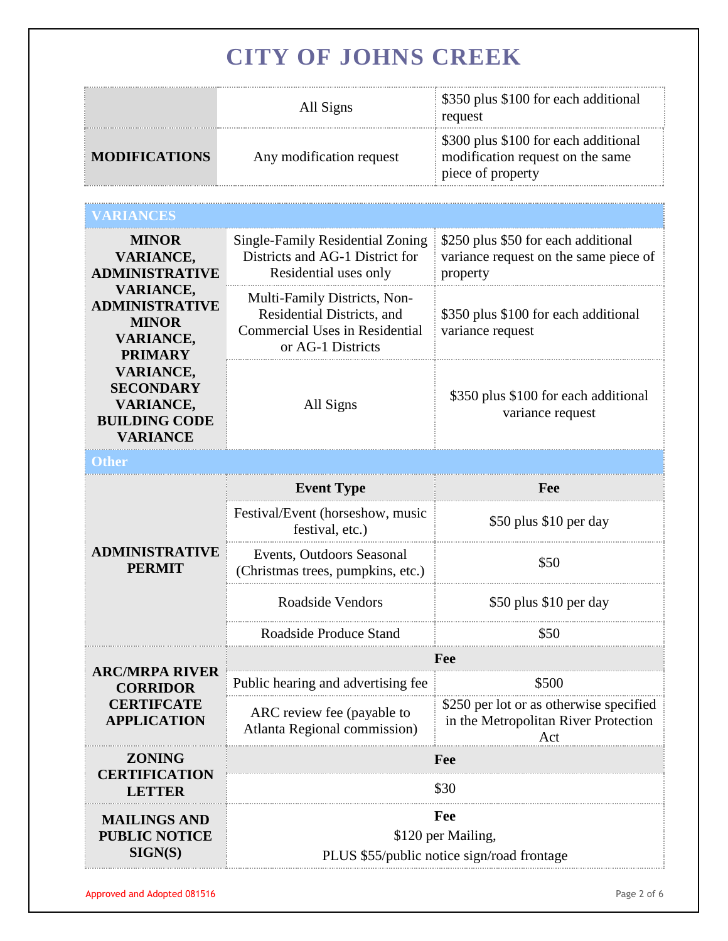|                      | All Signs                | \$350 plus \$100 for each additional<br>request                                               |
|----------------------|--------------------------|-----------------------------------------------------------------------------------------------|
| <b>MODIFICATIONS</b> | Any modification request | \$300 plus \$100 for each additional<br>modification request on the same<br>piece of property |

| <b>MINOR</b><br><b>VARIANCE,</b><br><b>ADMINISTRATIVE</b>                                           | Single-Family Residential Zoning<br>\$250 plus \$50 for each additional<br>Districts and AG-1 District for<br>variance request on the same piece of<br>Residential uses only<br>property |                                                                                        |  |  |
|-----------------------------------------------------------------------------------------------------|------------------------------------------------------------------------------------------------------------------------------------------------------------------------------------------|----------------------------------------------------------------------------------------|--|--|
| <b>VARIANCE,</b><br><b>ADMINISTRATIVE</b><br><b>MINOR</b><br><b>VARIANCE,</b><br><b>PRIMARY</b>     | Multi-Family Districts, Non-<br>Residential Districts, and<br><b>Commercial Uses in Residential</b><br>or AG-1 Districts                                                                 | \$350 plus \$100 for each additional<br>variance request                               |  |  |
| <b>VARIANCE,</b><br><b>SECONDARY</b><br><b>VARIANCE,</b><br><b>BUILDING CODE</b><br><b>VARIANCE</b> | All Signs                                                                                                                                                                                | \$350 plus \$100 for each additional<br>variance request                               |  |  |
|                                                                                                     |                                                                                                                                                                                          |                                                                                        |  |  |
|                                                                                                     | <b>Event Type</b>                                                                                                                                                                        | Fee                                                                                    |  |  |
|                                                                                                     | Festival/Event (horseshow, music<br>festival, etc.)                                                                                                                                      | \$50 plus \$10 per day                                                                 |  |  |
| <b>ADMINISTRATIVE</b><br><b>PERMIT</b>                                                              | Events, Outdoors Seasonal<br>(Christmas trees, pumpkins, etc.)                                                                                                                           | \$50                                                                                   |  |  |
|                                                                                                     | <b>Roadside Vendors</b><br>\$50 plus \$10 per day                                                                                                                                        |                                                                                        |  |  |
|                                                                                                     | Roadside Produce Stand                                                                                                                                                                   | \$50                                                                                   |  |  |
| <b>ARC/MRPA RIVER</b>                                                                               | Fee                                                                                                                                                                                      |                                                                                        |  |  |
| <b>CORRIDOR</b><br><b>CERTIFCATE</b><br><b>APPLICATION</b>                                          | Public hearing and advertising fee                                                                                                                                                       | \$500                                                                                  |  |  |
|                                                                                                     | ARC review fee (payable to<br><b>Atlanta Regional commission)</b>                                                                                                                        | \$250 per lot or as otherwise specified<br>in the Metropolitan River Protection<br>Act |  |  |
| <b>ZONING</b>                                                                                       | Fee                                                                                                                                                                                      |                                                                                        |  |  |
| <b>CERTIFICATION</b><br>LETTER                                                                      | \$30                                                                                                                                                                                     |                                                                                        |  |  |
| <b>MAILINGS AND</b><br><b>PUBLIC NOTICE</b><br>SIGN(S)                                              | Fee<br>\$120 per Mailing,<br>PLUS \$55/public notice sign/road frontage                                                                                                                  |                                                                                        |  |  |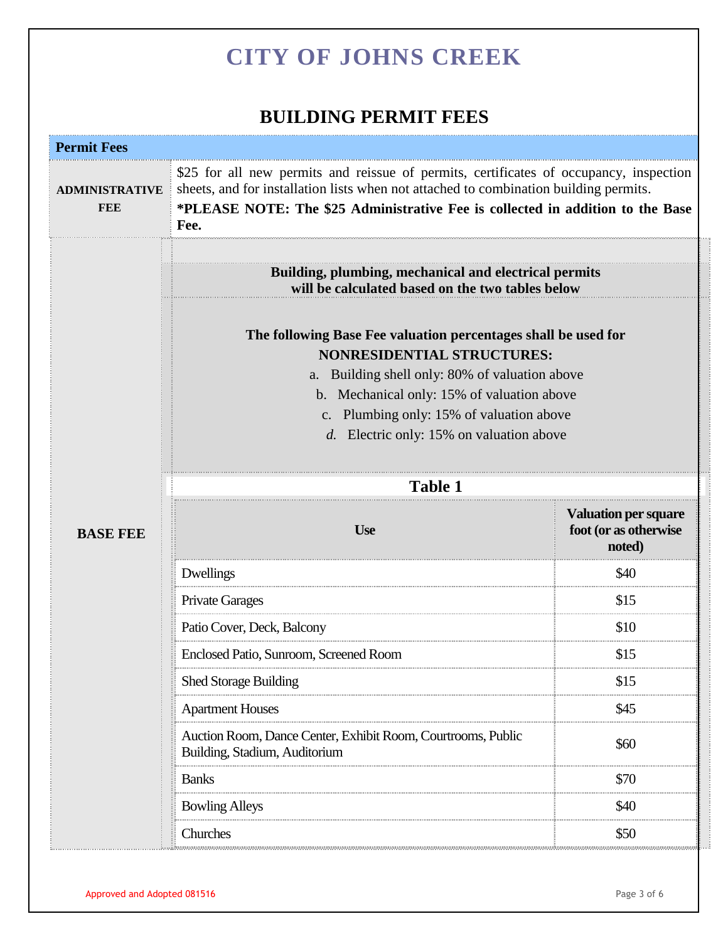### **BUILDING PERMIT FEES**

| <b>Permit Fees</b>                  |                                                                                                                                                                                                                                                                                                                                                                                                          |                                                                |  |
|-------------------------------------|----------------------------------------------------------------------------------------------------------------------------------------------------------------------------------------------------------------------------------------------------------------------------------------------------------------------------------------------------------------------------------------------------------|----------------------------------------------------------------|--|
| <b>ADMINISTRATIVE</b><br><b>FEE</b> | \$25 for all new permits and reissue of permits, certificates of occupancy, inspection<br>sheets, and for installation lists when not attached to combination building permits.<br>*PLEASE NOTE: The \$25 Administrative Fee is collected in addition to the Base<br>Fee.                                                                                                                                |                                                                |  |
|                                     |                                                                                                                                                                                                                                                                                                                                                                                                          |                                                                |  |
|                                     | Building, plumbing, mechanical and electrical permits<br>will be calculated based on the two tables below<br>The following Base Fee valuation percentages shall be used for<br><b>NONRESIDENTIAL STRUCTURES:</b><br>a. Building shell only: 80% of valuation above<br>b. Mechanical only: 15% of valuation above<br>c. Plumbing only: 15% of valuation above<br>d. Electric only: 15% on valuation above |                                                                |  |
|                                     |                                                                                                                                                                                                                                                                                                                                                                                                          |                                                                |  |
|                                     | Table 1                                                                                                                                                                                                                                                                                                                                                                                                  |                                                                |  |
| <b>BASE FEE</b>                     | <b>Use</b>                                                                                                                                                                                                                                                                                                                                                                                               | <b>Valuation per square</b><br>foot (or as otherwise<br>noted) |  |
|                                     | Dwellings                                                                                                                                                                                                                                                                                                                                                                                                | \$40                                                           |  |
|                                     | <b>Private Garages</b>                                                                                                                                                                                                                                                                                                                                                                                   | \$15                                                           |  |
|                                     | Patio Cover, Deck, Balcony                                                                                                                                                                                                                                                                                                                                                                               | \$10                                                           |  |
|                                     | Enclosed Patio, Sunroom, Screened Room                                                                                                                                                                                                                                                                                                                                                                   | \$15                                                           |  |
|                                     | <b>Shed Storage Building</b>                                                                                                                                                                                                                                                                                                                                                                             | \$15                                                           |  |
|                                     | <b>Apartment Houses</b>                                                                                                                                                                                                                                                                                                                                                                                  | \$45                                                           |  |
|                                     | Auction Room, Dance Center, Exhibit Room, Courtrooms, Public<br>Building, Stadium, Auditorium                                                                                                                                                                                                                                                                                                            | \$60                                                           |  |
|                                     | <b>Banks</b>                                                                                                                                                                                                                                                                                                                                                                                             | \$70                                                           |  |
|                                     | <b>Bowling Alleys</b>                                                                                                                                                                                                                                                                                                                                                                                    | \$40                                                           |  |
|                                     |                                                                                                                                                                                                                                                                                                                                                                                                          |                                                                |  |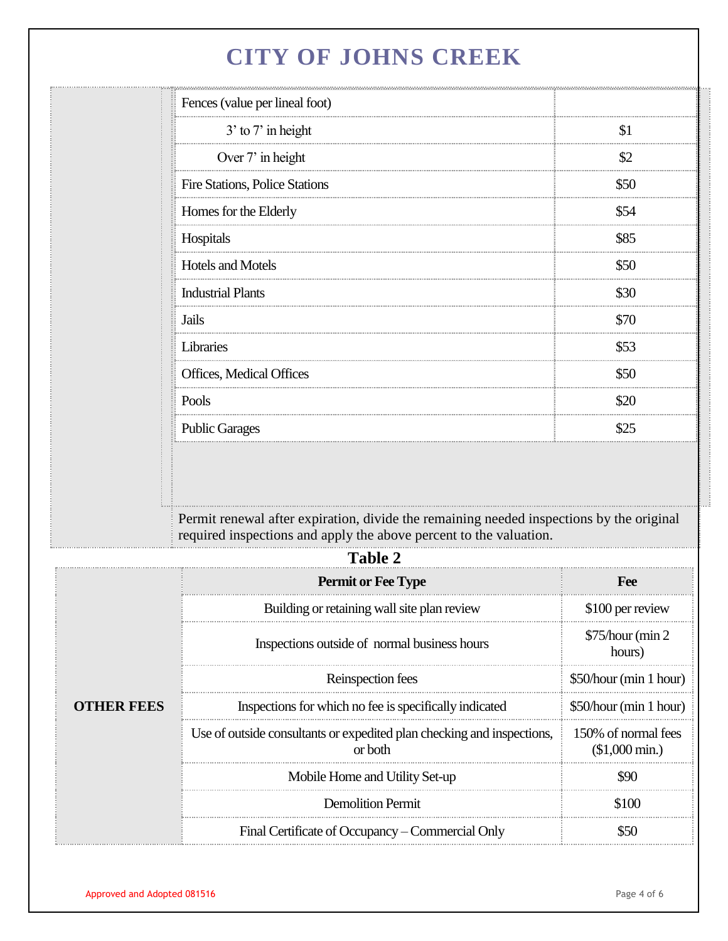| 3' to 7' in height             | \$1  |
|--------------------------------|------|
|                                |      |
| Over 7' in height              | \$2  |
| Fire Stations, Police Stations | \$50 |
| Homes for the Elderly          | \$54 |
| Hospitals                      | \$85 |
| Hotels and Motels              | \$50 |
| <b>Industrial Plants</b>       | \$30 |
| Jails                          | \$70 |
| Libraries                      | \$53 |
| Offices, Medical Offices       | \$50 |
| Pools                          | \$20 |
| <b>Public Garages</b>          | \$25 |
|                                |      |

Permit renewal after expiration, divide the remaining needed inspections by the original required inspections and apply the above percent to the valuation.

|                   | Table 2                                                                           |                                                |
|-------------------|-----------------------------------------------------------------------------------|------------------------------------------------|
|                   | <b>Permit or Fee Type</b>                                                         | <b>Fee</b>                                     |
|                   | Building or retaining wall site plan review                                       | \$100 per review                               |
| <b>OTHER FEES</b> | Inspections outside of normal business hours                                      | \$75/hour (min 2)<br>hours)                    |
|                   | Reinspection fees                                                                 | \$50/hour (min 1 hour)                         |
|                   | Inspections for which no fee is specifically indicated                            | \$50/hour (min 1 hour)                         |
|                   | Use of outside consultants or expedited plan checking and inspections,<br>or both | 150% of normal fees<br>$$1,000 \text{ min.}$ ) |
|                   | Mobile Home and Utility Set-up                                                    | 907                                            |
|                   | <b>Demolition Permit</b>                                                          | \$100                                          |
|                   | Final Certificate of Occupancy – Commercial Only                                  |                                                |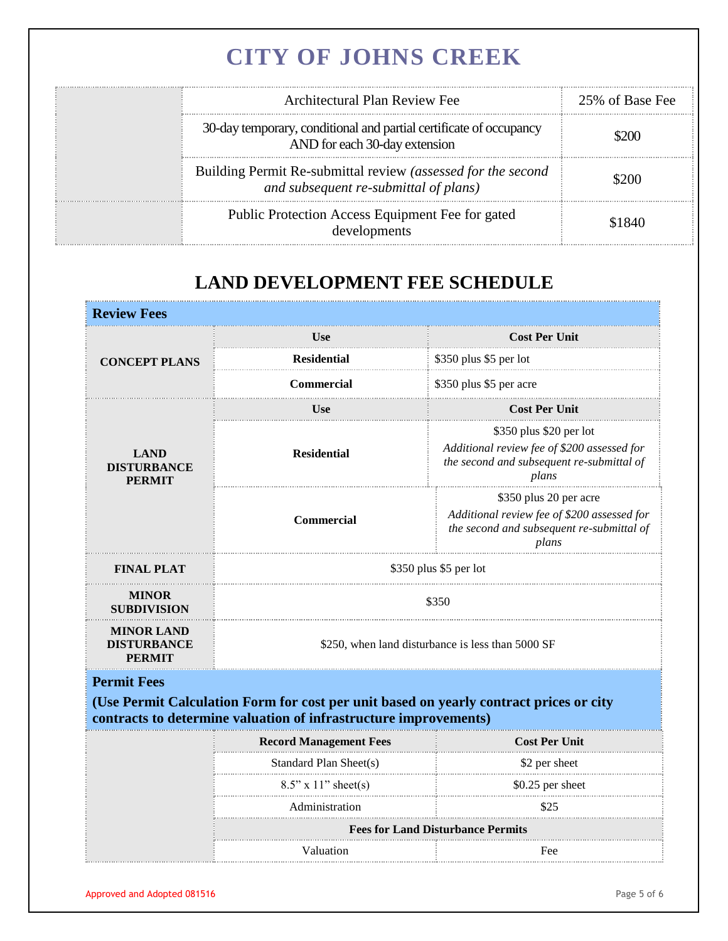| Architectural Plan Review Fee                                                                         | 25% of Base Fee |
|-------------------------------------------------------------------------------------------------------|-----------------|
| 30-day temporary, conditional and partial certificate of occupancy<br>AND for each 30-day extension   | 70 V            |
| Building Permit Re-submittal review (assessed for the second<br>and subsequent re-submittal of plans) | 32OO            |
| Public Protection Access Equipment Fee for gated<br>developments                                      |                 |

### **LAND DEVELOPMENT FEE SCHEDULE**

| <b>Review Fees</b>                                 |                                                                                                                                                            |                                                                                                                              |  |
|----------------------------------------------------|------------------------------------------------------------------------------------------------------------------------------------------------------------|------------------------------------------------------------------------------------------------------------------------------|--|
|                                                    | Use                                                                                                                                                        | <b>Cost Per Unit</b>                                                                                                         |  |
| <b>CONCEPT PLANS</b>                               | <b>Residential</b>                                                                                                                                         | \$350 plus \$5 per lot                                                                                                       |  |
|                                                    | <b>Commercial</b>                                                                                                                                          | \$350 plus \$5 per acre                                                                                                      |  |
|                                                    | Use                                                                                                                                                        | <b>Cost Per Unit</b>                                                                                                         |  |
| <b>LAND</b><br><b>DISTURBANCE</b><br><b>PERMIT</b> | <b>Residential</b>                                                                                                                                         | \$350 plus \$20 per lot<br>Additional review fee of \$200 assessed for<br>the second and subsequent re-submittal of<br>plans |  |
|                                                    | Commercial                                                                                                                                                 | \$350 plus 20 per acre<br>Additional review fee of \$200 assessed for<br>the second and subsequent re-submittal of<br>plans  |  |
| <b>FINAL PLAT</b>                                  | \$350 plus \$5 per lot                                                                                                                                     |                                                                                                                              |  |
| <b>MINOR</b><br><b>SUBDIVISION</b>                 | \$350                                                                                                                                                      |                                                                                                                              |  |
| <b>MINOR LAND</b><br><b>DISTURBANCE</b><br>PERMIT  | \$250, when land disturbance is less than 5000 SF                                                                                                          |                                                                                                                              |  |
| <b>Permit Fees</b>                                 | (Use Permit Calculation Form for cost per unit based on yearly contract prices or city<br>contracts to determine valuation of infrastructure improvements) |                                                                                                                              |  |
|                                                    | <b>Record Management Fees</b>                                                                                                                              | <b>Cost Per Unit</b>                                                                                                         |  |
|                                                    | Standard Plan Sheet(s)                                                                                                                                     | \$2 per sheet                                                                                                                |  |
|                                                    | $8.5$ " x 11" sheet(s)                                                                                                                                     | \$0.25 per sheet                                                                                                             |  |
|                                                    | Administration                                                                                                                                             | \$25                                                                                                                         |  |
|                                                    | <b>Fees for Land Disturbance Permits</b>                                                                                                                   |                                                                                                                              |  |
|                                                    | Valuation<br>Fee                                                                                                                                           |                                                                                                                              |  |